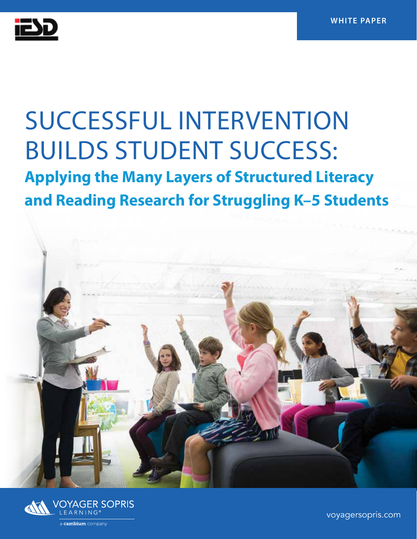

## SUCCESSFUL INTERVENTION BUILDS STUDENT SUCCESS:

**Applying the Many Layers of Structured Literacy and Reading Research for Struggling K–5 Students**





[voyagersopris.com](http://www.voyagersopris.com)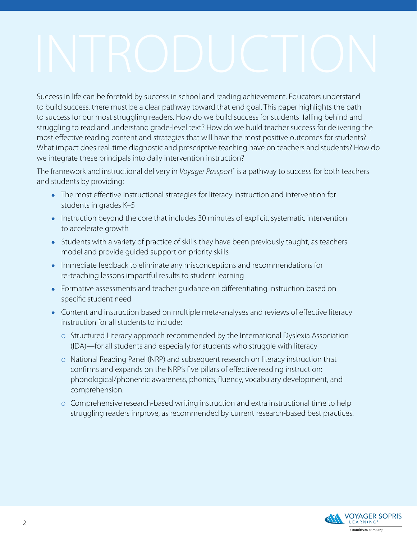Success in life can be foretold by success in school and reading achievement. Educators understand to build success, there must be a clear pathway toward that end goal. This paper highlights the path to success for our most struggling readers. How do we build success for students falling behind and struggling to read and understand grade-level text? How do we build teacher success for delivering the most effective reading content and strategies that will have the most positive outcomes for students? What impact does real-time diagnostic and prescriptive teaching have on teachers and students? How do we integrate these principals into daily intervention instruction?

The framework and instructional delivery in *Voyager Passport*® is a pathway to success for both teachers and students by providing:

- The most effective instructional strategies for literacy instruction and intervention for students in grades K–5
- Instruction beyond the core that includes 30 minutes of explicit, systematic intervention to accelerate growth
- Students with a variety of practice of skills they have been previously taught, as teachers model and provide guided support on priority skills
- Immediate feedback to eliminate any misconceptions and recommendations for re-teaching lessons impactful results to student learning
- Formative assessments and teacher guidance on differentiating instruction based on specific student need
- Content and instruction based on multiple meta-analyses and reviews of effective literacy instruction for all students to include:
	- o Structured Literacy approach recommended by the International Dyslexia Association (IDA)—for all students and especially for students who struggle with literacy
	- o National Reading Panel (NRP) and subsequent research on literacy instruction that confirms and expands on the NRP's five pillars of effective reading instruction: phonological/phonemic awareness, phonics, fluency, vocabulary development, and comprehension.
	- o Comprehensive research-based writing instruction and extra instructional time to help struggling readers improve, as recommended by current research-based best practices.

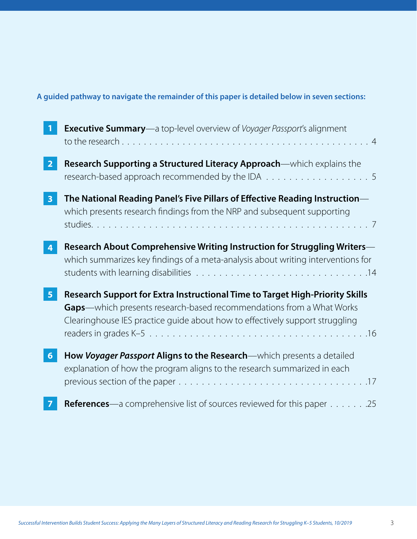#### **A guided pathway to navigate the remainder of this paper is detailed below in seven sections:**

|                         | <b>Executive Summary</b> —a top-level overview of Voyager Passport's alignment                                                                                                                                                                                           |
|-------------------------|--------------------------------------------------------------------------------------------------------------------------------------------------------------------------------------------------------------------------------------------------------------------------|
| $\overline{2}$          | Research Supporting a Structured Literacy Approach—which explains the<br>research-based approach recommended by the IDA $\ldots \ldots \ldots \ldots \ldots \ldots$                                                                                                      |
| $\overline{\mathbf{3}}$ | The National Reading Panel's Five Pillars of Effective Reading Instruction—<br>which presents research findings from the NRP and subsequent supporting                                                                                                                   |
|                         | Research About Comprehensive Writing Instruction for Struggling Writers-<br>which summarizes key findings of a meta-analysis about writing interventions for                                                                                                             |
| 5 <sub>5</sub>          | Research Support for Extra Instructional Time to Target High-Priority Skills<br>Gaps-which presents research-based recommendations from a What Works<br>Clearinghouse IES practice guide about how to effectively support struggling                                     |
| $6\phantom{1}6$         | How Voyager Passport Aligns to the Research-which presents a detailed<br>explanation of how the program aligns to the research summarized in each<br>previous section of the paper $\ldots \ldots \ldots \ldots \ldots \ldots \ldots \ldots \ldots \ldots \ldots \ldots$ |
|                         | <b>References</b> —a comprehensive list of sources reviewed for this paper 25                                                                                                                                                                                            |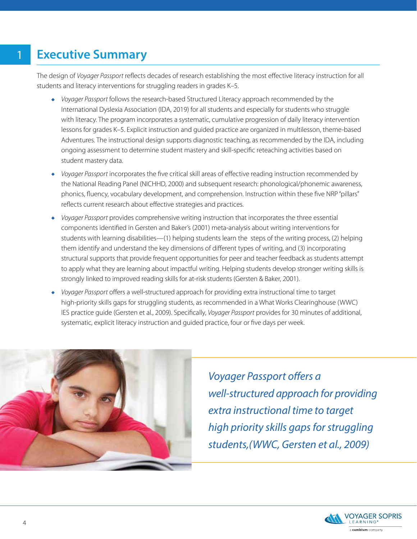## <span id="page-3-0"></span>**Executive Summary**

The design of *Voyager Passport* reflects decades of research establishing the most effective literacy instruction for all students and literacy interventions for struggling readers in grades K–5.

- *Voyager Passport* follows the research-based Structured Literacy approach recommended by the International Dyslexia Association (IDA, 2019) for all students and especially for students who struggle with literacy. The program incorporates a systematic, cumulative progression of daily literacy intervention lessons for grades K–5. Explicit instruction and guided practice are organized in multilesson, theme-based Adventures. The instructional design supports diagnostic teaching, as recommended by the IDA, including ongoing assessment to determine student mastery and skill-specific reteaching activities based on student mastery data.
- *Voyager Passport* incorporates the five critical skill areas of effective reading instruction recommended by the National Reading Panel (NICHHD, 2000) and subsequent research: phonological/phonemic awareness, phonics, fluency, vocabulary development, and comprehension. Instruction within these five NRP "pillars" reflects current research about effective strategies and practices.
- *Voyager Passport* provides comprehensive writing instruction that incorporates the three essential components identified in Gersten and Baker's (2001) meta-analysis about writing interventions for students with learning disabilities—(1) helping students learn the steps of the writing process, (2) helping them identify and understand the key dimensions of different types of writing, and (3) incorporating structural supports that provide frequent opportunities for peer and teacher feedback as students attempt to apply what they are learning about impactful writing. Helping students develop stronger writing skills is strongly linked to improved reading skills for at-risk students (Gersten & Baker, 2001).
- *Voyager Passport* offers a well-structured approach for providing extra instructional time to target high-priority skills gaps for struggling students, as recommended in a What Works Clearinghouse (WWC) IES practice guide (Gersten et al., 2009). Specifically, *Voyager Passport* provides for 30 minutes of additional, systematic, explicit literacy instruction and guided practice, four or five days per week.



*Voyager Passport offers a well-structured approach for providing extra instructional time to target high priority skills gaps for struggling students,(WWC, Gersten et al., 2009)*

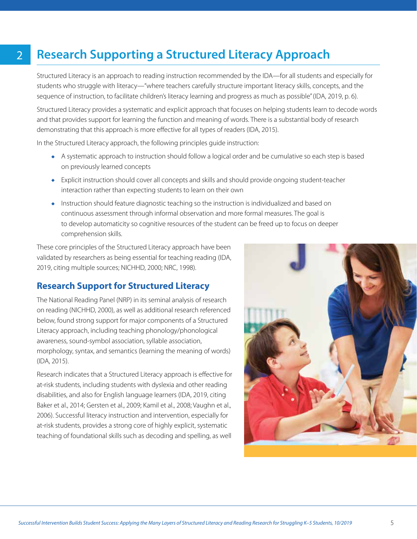## **Research Supporting a Structured Literacy Approach**

Structured Literacy is an approach to reading instruction recommended by the IDA—for all students and especially for students who struggle with literacy—"where teachers carefully structure important literacy skills, concepts, and the sequence of instruction, to facilitate children's literacy learning and progress as much as possible" (IDA, 2019, p. 6).

Structured Literacy provides a systematic and explicit approach that focuses on helping students learn to decode words and that provides support for learning the function and meaning of words. There is a substantial body of research demonstrating that this approach is more effective for all types of readers (IDA, 2015).

In the Structured Literacy approach, the following principles guide instruction:

<span id="page-4-0"></span>2

- A systematic approach to instruction should follow a logical order and be cumulative so each step is based on previously learned concepts
- Explicit instruction should cover all concepts and skills and should provide ongoing student-teacher interaction rather than expecting students to learn on their own
- Instruction should feature diagnostic teaching so the instruction is individualized and based on continuous assessment through informal observation and more formal measures. The goal is to develop automaticity so cognitive resources of the student can be freed up to focus on deeper comprehension skills.

These core principles of the Structured Literacy approach have been validated by researchers as being essential for teaching reading (IDA, 2019, citing multiple sources; NICHHD, 2000; NRC, 1998).

#### **Research Support for Structured Literacy**

The National Reading Panel (NRP) in its seminal analysis of research on reading (NICHHD, 2000), as well as additional research referenced below, found strong support for major components of a Structured Literacy approach, including teaching phonology/phonological awareness, sound-symbol association, syllable association, morphology, syntax, and semantics (learning the meaning of words) (IDA, 2015).

Research indicates that a Structured Literacy approach is effective for at-risk students, including students with dyslexia and other reading disabilities, and also for English language learners (IDA, 2019, citing Baker et al., 2014; Gersten et al., 2009; Kamil et al., 2008; Vaughn et al., 2006). Successful literacy instruction and intervention, especially for at-risk students, provides a strong core of highly explicit, systematic teaching of foundational skills such as decoding and spelling, as well

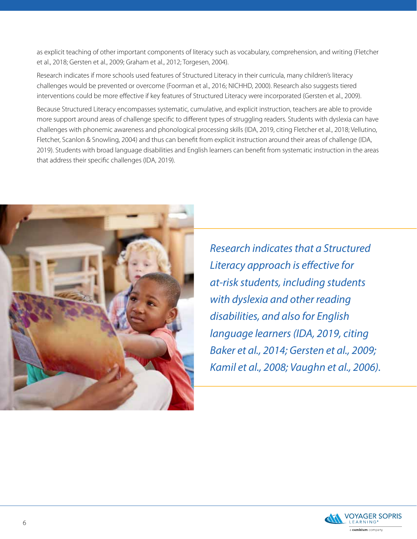as explicit teaching of other important components of literacy such as vocabulary, comprehension, and writing (Fletcher et al., 2018; Gersten et al., 2009; Graham et al., 2012; Torgesen, 2004).

Research indicates if more schools used features of Structured Literacy in their curricula, many children's literacy challenges would be prevented or overcome (Foorman et al., 2016; NICHHD, 2000). Research also suggests tiered interventions could be more effective if key features of Structured Literacy were incorporated (Gersten et al., 2009).

Because Structured Literacy encompasses systematic, cumulative, and explicit instruction, teachers are able to provide more support around areas of challenge specific to different types of struggling readers. Students with dyslexia can have challenges with phonemic awareness and phonological processing skills (IDA, 2019, citing Fletcher et al., 2018; Vellutino, Fletcher, Scanlon & Snowling, 2004) and thus can benefit from explicit instruction around their areas of challenge (IDA, 2019). Students with broad language disabilities and English learners can benefit from systematic instruction in the areas that address their specific challenges (IDA, 2019).



*Research indicates that a Structured Literacy approach is effective for at-risk students, including students with dyslexia and other reading disabilities, and also for English language learners (IDA, 2019, citing Baker et al., 2014; Gersten et al., 2009; Kamil et al., 2008; Vaughn et al., 2006).*

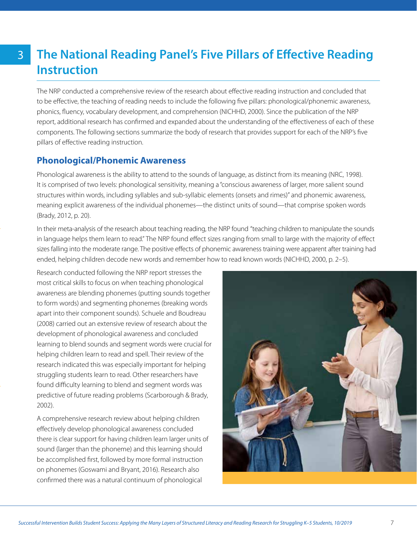## <span id="page-6-0"></span>**The National Reading Panel's Five Pillars of Effective Reading Instruction**

The NRP conducted a comprehensive review of the research about effective reading instruction and concluded that to be effective, the teaching of reading needs to include the following five pillars: phonological/phonemic awareness, phonics, fluency, vocabulary development, and comprehension (NICHHD, 2000). Since the publication of the NRP report, additional research has confirmed and expanded about the understanding of the effectiveness of each of these components. The following sections summarize the body of research that provides support for each of the NRP's five pillars of effective reading instruction.

#### **Phonological/Phonemic Awareness**

Phonological awareness is the ability to attend to the sounds of language, as distinct from its meaning (NRC, 1998). It is comprised of two levels: phonological sensitivity, meaning a "conscious awareness of larger, more salient sound structures within words, including syllables and sub-syllabic elements (onsets and rimes)" and phonemic awareness, meaning explicit awareness of the individual phonemes—the distinct units of sound—that comprise spoken words (Brady, 2012, p. 20).

In their meta-analysis of the research about teaching reading, the NRP found "teaching children to manipulate the sounds in language helps them learn to read." The NRP found effect sizes ranging from small to large with the majority of effect sizes falling into the moderate range. The positive effects of phonemic awareness training were apparent after training had ended, helping children decode new words and remember how to read known words (NICHHD, 2000, p. 2–5).

Research conducted following the NRP report stresses the most critical skills to focus on when teaching phonological awareness are blending phonemes (putting sounds together to form words) and segmenting phonemes (breaking words apart into their component sounds). Schuele and Boudreau (2008) carried out an extensive review of research about the development of phonological awareness and concluded learning to blend sounds and segment words were crucial for helping children learn to read and spell. Their review of the research indicated this was especially important for helping struggling students learn to read. Other researchers have found difficulty learning to blend and segment words was predictive of future reading problems (Scarborough & Brady, 2002).

A comprehensive research review about helping children effectively develop phonological awareness concluded there is clear support for having children learn larger units of sound (larger than the phoneme) and this learning should be accomplished first, followed by more formal instruction on phonemes (Goswami and Bryant, 2016). Research also confirmed there was a natural continuum of phonological

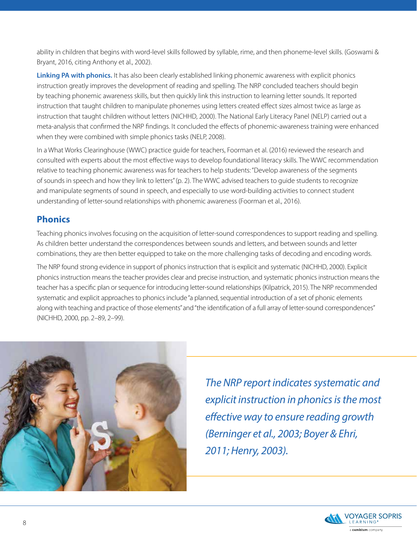ability in children that begins with word-level skills followed by syllable, rime, and then phoneme-level skills. (Goswami & Bryant, 2016, citing Anthony et al., 2002).

**Linking PA with phonics.** It has also been clearly established linking phonemic awareness with explicit phonics instruction greatly improves the development of reading and spelling. The NRP concluded teachers should begin by teaching phonemic awareness skills, but then quickly link this instruction to learning letter sounds. It reported instruction that taught children to manipulate phonemes using letters created effect sizes almost twice as large as instruction that taught children without letters (NICHHD, 2000). The National Early Literacy Panel (NELP) carried out a meta-analysis that confirmed the NRP findings. It concluded the effects of phonemic-awareness training were enhanced when they were combined with simple phonics tasks (NELP, 2008).

In a What Works Clearinghouse (WWC) practice guide for teachers, Foorman et al. (2016) reviewed the research and consulted with experts about the most effective ways to develop foundational literacy skills. The WWC recommendation relative to teaching phonemic awareness was for teachers to help students: "Develop awareness of the segments of sounds in speech and how they link to letters" (p. 2). The WWC advised teachers to guide students to recognize and manipulate segments of sound in speech, and especially to use word-building activities to connect student understanding of letter-sound relationships with phonemic awareness (Foorman et al., 2016).

#### **Phonics**

Teaching phonics involves focusing on the acquisition of letter-sound correspondences to support reading and spelling. As children better understand the correspondences between sounds and letters, and between sounds and letter combinations, they are then better equipped to take on the more challenging tasks of decoding and encoding words.

The NRP found strong evidence in support of phonics instruction that is explicit and systematic (NICHHD, 2000). Explicit phonics instruction means the teacher provides clear and precise instruction, and systematic phonics instruction means the teacher has a specific plan or sequence for introducing letter-sound relationships (Kilpatrick, 2015). The NRP recommended systematic and explicit approaches to phonics include "a planned, sequential introduction of a set of phonic elements along with teaching and practice of those elements" and "the identification of a full array of letter-sound correspondences" (NICHHD, 2000, pp. 2–89, 2–99).



*The NRP report indicates systematic and explicit instruction in phonics is the most effective way to ensure reading growth (Berninger et al., 2003; Boyer & Ehri, 2011; Henry, 2003).*

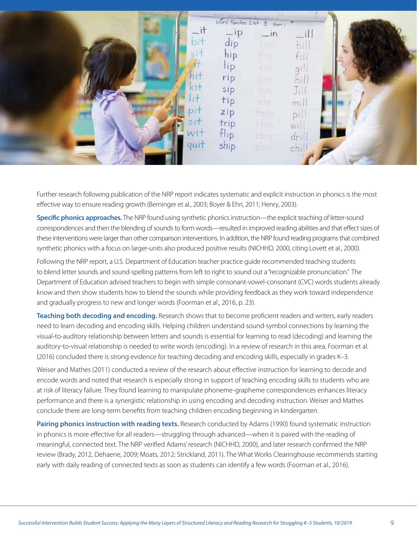| Word Families List 3 short 1 |                                              |                |              |  |  |
|------------------------------|----------------------------------------------|----------------|--------------|--|--|
| οil                          | <b>IP</b><br>$\overline{\phantom{a}}$<br>dip | $-$ in<br>am   |              |  |  |
|                              | hip                                          |                |              |  |  |
|                              | lip<br>rip                                   | Kin            | Q.<br>$\sim$ |  |  |
|                              | sip                                          | 93 Y B<br>film | $J_{1}$      |  |  |
| 计手                           | tip<br>zip                                   | Wittl          | mil          |  |  |
| sit                          | trip                                         | twin<br>ilbio, | pi<br>Wi.    |  |  |
| W<br>quit                    | Hip                                          | chin           | dri          |  |  |
|                              | ship                                         | shin.          | cni          |  |  |

Further research following publication of the NRP report indicates systematic and explicit instruction in phonics is the most effective way to ensure reading growth (Berninger et al., 2003; Boyer & Ehri, 2011; Henry, 2003).

**Specific phonics approaches.** The NRP found using synthetic phonics instruction—the explicit teaching of letter-sound correspondences and then the blending of sounds to form words—resulted in improved reading abilities and that effect sizes of these interventions were larger than other comparison interventions. In addition, the NRP found reading programs that combined synthetic phonics with a focus on larger-units also produced positive results (NICHHD, 2000, citing Lovett et al., 2000).

Following the NRP report, a U.S. Department of Education teacher practice guide recommended teaching students to blend letter sounds and sound-spelling patterns from left to right to sound out a "recognizable pronunciation." The Department of Education advised teachers to begin with simple consonant-vowel-consonant (CVC) words students already know and then show students how to blend the sounds while providing feedback as they work toward independence and gradually progress to new and longer words (Foorman et al., 2016, p. 23).

**Teaching both decoding and encoding.** Research shows that to become proficient readers and writers, early readers need to learn decoding and encoding skills. Helping children understand sound-symbol connections by learning the visual-to-auditory relationship between letters and sounds is essential for learning to read (decoding) and learning the auditory-to-visual relationship is needed to write words (encoding). In a review of research in this area, Foorman et al. (2016) concluded there is strong evidence for teaching decoding and encoding skills, especially in grades K–3.

Weiser and Mathes (2011) conducted a review of the research about effective instruction for learning to decode and encode words and noted that research is especially strong in support of teaching encoding skills to students who are at risk of literacy failure. They found learning to manipulate phoneme-grapheme correspondences enhances literacy performance and there is a synergistic relationship in using encoding and decoding instruction. Weiser and Mathes conclude there are long-term benefits from teaching children encoding beginning in kindergarten.

**Pairing phonics instruction with reading texts.** Research conducted by Adams (1990) found systematic instruction in phonics is more effective for all readers—struggling through advanced—when it is paired with the reading of meaningful, connected text. The NRP verified Adams' research (NICHHD, 2000), and later research confirmed the NRP review (Brady, 2012, Dehaene, 2009; Moats, 2012; Strickland, 2011). The What Works Clearinghouse recommends starting early with daily reading of connected texts as soon as students can identify a few words (Foorman et al., 2016).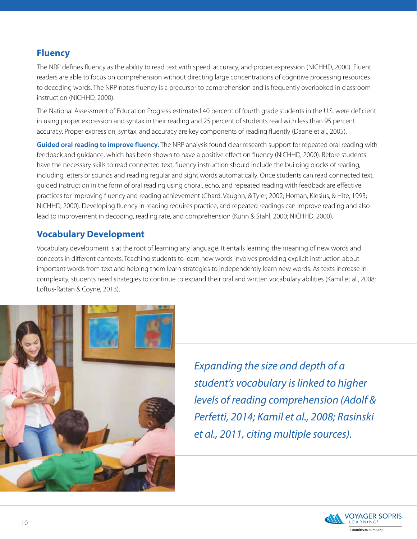#### **Fluency**

The NRP defines fluency as the ability to read text with speed, accuracy, and proper expression (NICHHD, 2000). Fluent readers are able to focus on comprehension without directing large concentrations of cognitive processing resources to decoding words. The NRP notes fluency is a precursor to comprehension and is frequently overlooked in classroom instruction (NICHHD, 2000).

The National Assessment of Education Progress estimated 40 percent of fourth grade students in the U.S. were deficient in using proper expression and syntax in their reading and 25 percent of students read with less than 95 percent accuracy. Proper expression, syntax, and accuracy are key components of reading fluently (Daane et al., 2005).

**Guided oral reading to improve fluency.** The NRP analysis found clear research support for repeated oral reading with feedback and guidance, which has been shown to have a positive effect on fluency (NICHHD, 2000). Before students have the necessary skills to read connected text, fluency instruction should include the building blocks of reading, including letters or sounds and reading regular and sight words automatically. Once students can read connected text, guided instruction in the form of oral reading using choral, echo, and repeated reading with feedback are effective practices for improving fluency and reading achievement (Chard, Vaughn, & Tyler, 2002; Homan, Klesius, & Hite, 1993; NICHHD, 2000). Developing fluency in reading requires practice, and repeated readings can improve reading and also lead to improvement in decoding, reading rate, and comprehension (Kuhn & Stahl, 2000; NICHHD, 2000).

#### **Vocabulary Development**

Vocabulary development is at the root of learning any language. It entails learning the meaning of new words and concepts in different contexts. Teaching students to learn new words involves providing explicit instruction about important words from text and helping them learn strategies to independently learn new words. As texts increase in complexity, students need strategies to continue to expand their oral and written vocabulary abilities (Kamil et al., 2008; Loftus-Rattan & Coyne, 2013).



*Expanding the size and depth of a student's vocabulary is linked to higher levels of reading comprehension (Adolf & Perfetti, 2014; Kamil et al., 2008; Rasinski et al., 2011, citing multiple sources).*

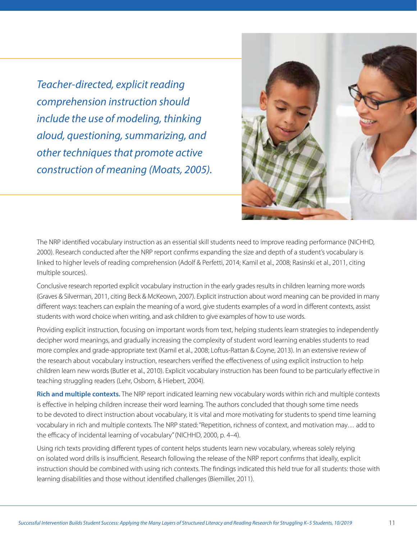*Teacher-directed, explicit reading comprehension instruction should include the use of modeling, thinking aloud, questioning, summarizing, and other techniques that promote active construction of meaning (Moats, 2005).*



The NRP identified vocabulary instruction as an essential skill students need to improve reading performance (NICHHD, 2000). Research conducted after the NRP report confirms expanding the size and depth of a student's vocabulary is linked to higher levels of reading comprehension (Adolf & Perfetti, 2014; Kamil et al., 2008; Rasinski et al., 2011, citing multiple sources).

Conclusive research reported explicit vocabulary instruction in the early grades results in children learning more words (Graves & Silverman, 2011, citing Beck & McKeown, 2007). Explicit instruction about word meaning can be provided in many different ways: teachers can explain the meaning of a word, give students examples of a word in different contexts, assist students with word choice when writing, and ask children to give examples of how to use words.

Providing explicit instruction, focusing on important words from text, helping students learn strategies to independently decipher word meanings, and gradually increasing the complexity of student word learning enables students to read more complex and grade-appropriate text (Kamil et al., 2008; Loftus-Rattan & Coyne, 2013). In an extensive review of the research about vocabulary instruction, researchers verified the effectiveness of using explicit instruction to help children learn new words (Butler et al., 2010). Explicit vocabulary instruction has been found to be particularly effective in teaching struggling readers (Lehr, Osborn, & Hiebert, 2004).

**Rich and multiple contexts.** The NRP report indicated learning new vocabulary words within rich and multiple contexts is effective in helping children increase their word learning. The authors concluded that though some time needs to be devoted to direct instruction about vocabulary, it is vital and more motivating for students to spend time learning vocabulary in rich and multiple contexts. The NRP stated: "Repetition, richness of context, and motivation may… add to the efficacy of incidental learning of vocabulary" (NICHHD, 2000, p. 4–4).

Using rich texts providing different types of content helps students learn new vocabulary, whereas solely relying on isolated word drills is insufficient. Research following the release of the NRP report confirms that ideally, explicit instruction should be combined with using rich contexts. The findings indicated this held true for all students: those with learning disabilities and those without identified challenges (Biemiller, 2011).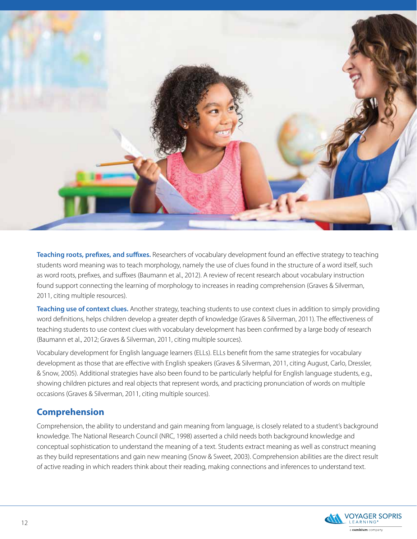

**Teaching roots, prefixes, and suffixes.** Researchers of vocabulary development found an effective strategy to teaching students word meaning was to teach morphology, namely the use of clues found in the structure of a word itself, such as word roots, prefixes, and suffixes (Baumann et al., 2012). A review of recent research about vocabulary instruction found support connecting the learning of morphology to increases in reading comprehension (Graves & Silverman, 2011, citing multiple resources).

**Teaching use of context clues.** Another strategy, teaching students to use context clues in addition to simply providing word definitions, helps children develop a greater depth of knowledge (Graves & Silverman, 2011). The effectiveness of teaching students to use context clues with vocabulary development has been confirmed by a large body of research (Baumann et al., 2012; Graves & Silverman, 2011, citing multiple sources).

Vocabulary development for English language learners (ELLs). ELLs benefit from the same strategies for vocabulary development as those that are effective with English speakers (Graves & Silverman, 2011, citing August, Carlo, Dressler, & Snow, 2005). Additional strategies have also been found to be particularly helpful for English language students, e.g., showing children pictures and real objects that represent words, and practicing pronunciation of words on multiple occasions (Graves & Silverman, 2011, citing multiple sources).

#### **Comprehension**

Comprehension, the ability to understand and gain meaning from language, is closely related to a student's background knowledge. The National Research Council (NRC, 1998) asserted a child needs both background knowledge and conceptual sophistication to understand the meaning of a text. Students extract meaning as well as construct meaning as they build representations and gain new meaning (Snow & Sweet, 2003). Comprehension abilities are the direct result of active reading in which readers think about their reading, making connections and inferences to understand text.

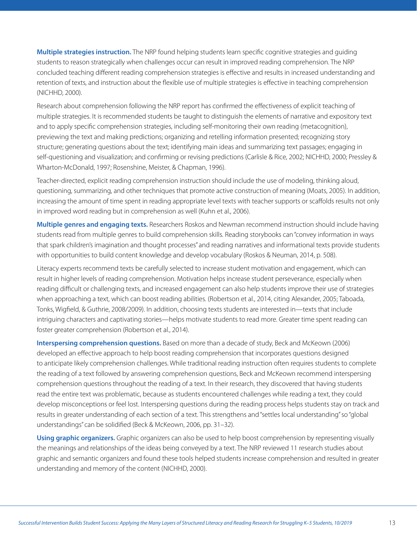<span id="page-12-0"></span>**Multiple strategies instruction.** The NRP found helping students learn specific cognitive strategies and guiding students to reason strategically when challenges occur can result in improved reading comprehension. The NRP concluded teaching different reading comprehension strategies is effective and results in increased understanding and retention of texts, and instruction about the flexible use of multiple strategies is effective in teaching comprehension (NICHHD, 2000).

Research about comprehension following the NRP report has confirmed the effectiveness of explicit teaching of multiple strategies. It is recommended students be taught to distinguish the elements of narrative and expository text and to apply specific comprehension strategies, including self-monitoring their own reading (metacognition), previewing the text and making predictions; organizing and retelling information presented; recognizing story structure; generating questions about the text; identifying main ideas and summarizing text passages; engaging in self-questioning and visualization; and confirming or revising predictions (Carlisle & Rice, 2002; NICHHD, 2000; Pressley & Wharton-McDonald, 1997; Rosenshine, Meister, & Chapman, 1996).

Teacher-directed, explicit reading comprehension instruction should include the use of modeling, thinking aloud, questioning, summarizing, and other techniques that promote active construction of meaning (Moats, 2005). In addition, increasing the amount of time spent in reading appropriate level texts with teacher supports or scaffolds results not only in improved word reading but in comprehension as well (Kuhn et al., 2006).

**Multiple genres and engaging texts.** Researchers Roskos and Newman recommend instruction should include having students read from multiple genres to build comprehension skills. Reading storybooks can "convey information in ways that spark children's imagination and thought processes" and reading narratives and informational texts provide students with opportunities to build content knowledge and develop vocabulary (Roskos & Neuman, 2014, p. 508).

Literacy experts recommend texts be carefully selected to increase student motivation and engagement, which can result in higher levels of reading comprehension. Motivation helps increase student perseverance, especially when reading difficult or challenging texts, and increased engagement can also help students improve their use of strategies when approaching a text, which can boost reading abilities. (Robertson et al., 2014, citing Alexander, 2005; Taboada, Tonks, Wigfield, & Guthrie, 2008/2009). In addition, choosing texts students are interested in—texts that include intriguing characters and captivating stories—helps motivate students to read more. Greater time spent reading can foster greater comprehension (Robertson et al., 2014).

**Interspersing comprehension questions.** Based on more than a decade of study, Beck and McKeown (2006) developed an effective approach to help boost reading comprehension that incorporates questions designed to anticipate likely comprehension challenges. While traditional reading instruction often requires students to complete the reading of a text followed by answering comprehension questions, Beck and McKeown recommend interspersing comprehension questions throughout the reading of a text. In their research, they discovered that having students read the entire text was problematic, because as students encountered challenges while reading a text, they could develop misconceptions or feel lost. Interspersing questions during the reading process helps students stay on track and results in greater understanding of each section of a text. This strengthens and "settles local understanding" so "global understandings" can be solidified (Beck & McKeown, 2006, pp. 31–32).

**Using graphic organizers.** Graphic organizers can also be used to help boost comprehension by representing visually the meanings and relationships of the ideas being conveyed by a text. The NRP reviewed 11 research studies about graphic and semantic organizers and found these tools helped students increase comprehension and resulted in greater understanding and memory of the content (NICHHD, 2000).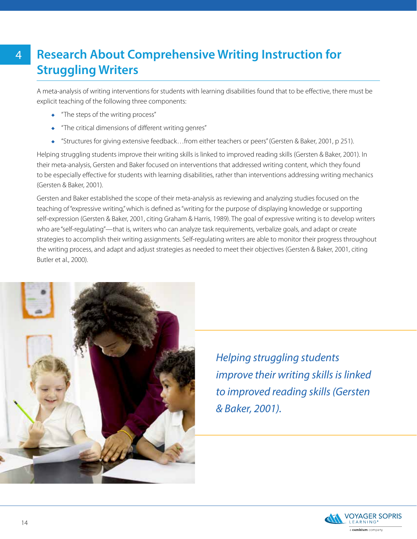## **Research About Comprehensive Writing Instruction for Struggling Writers**

A meta-analysis of writing interventions for students with learning disabilities found that to be effective, there must be explicit teaching of the following three components:

- "The steps of the writing process"
- "The critical dimensions of different writing genres"
- "Structures for giving extensive feedback…from either teachers or peers" (Gersten & Baker, 2001, p 251).

Helping struggling students improve their writing skills is linked to improved reading skills (Gersten & Baker, 2001). In their meta-analysis, Gersten and Baker focused on interventions that addressed writing content, which they found to be especially effective for students with learning disabilities, rather than interventions addressing writing mechanics (Gersten & Baker, 2001).

Gersten and Baker established the scope of their meta-analysis as reviewing and analyzing studies focused on the teaching of "expressive writing," which is defined as "writing for the purpose of displaying knowledge or supporting self-expression (Gersten & Baker, 2001, citing Graham & Harris, 1989). The goal of expressive writing is to develop writers who are "self-regulating"—that is, writers who can analyze task requirements, verbalize goals, and adapt or create strategies to accomplish their writing assignments. Self-regulating writers are able to monitor their progress throughout the writing process, and adapt and adjust strategies as needed to meet their objectives (Gersten & Baker, 2001, citing Butler et al., 2000).



*Helping struggling students improve their writing skills is linked to improved reading skills (Gersten & Baker, 2001).*

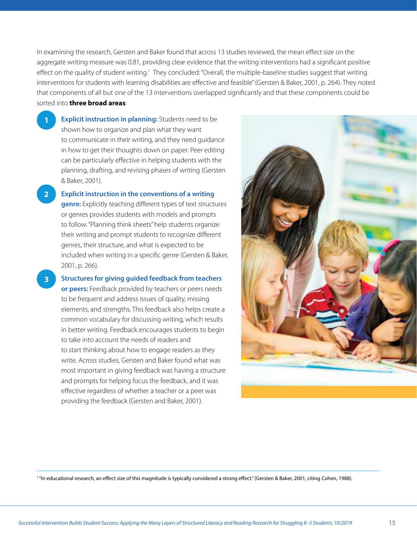In examining the research, Gersten and Baker found that across 13 studies reviewed, the mean effect size on the aggregate writing measure was 0.81, providing clear evidence that the writing interventions had a significant positive effect on the quality of student writing.<sup>1</sup> They concluded: "Overall, the multiple-baseline studies suggest that writing interventions for students with learning disabilities are effective and feasible" (Gersten & Baker, 2001, p. 264). They noted that components of all but one of the 13 interventions overlapped significantly and that these components could be sorted into **three broad areas**:

• **Explicit instruction in planning:** Students need to be shown how to organize and plan what they want to communicate in their writing, and they need guidance in how to get their thoughts down on paper. Peer editing can be particularly effective in helping students with the planning, drafting, and revising phases of writing (Gersten & Baker, 2001).

**1**

**3**

• **Explicit instruction in the conventions of a writing genre:** Explicitly teaching different types of text structures or genres provides students with models and prompts to follow. "Planning think sheets" help students organize their writing and prompt students to recognize different genres, their structure, and what is expected to be included when writing in a specific genre (Gersten & Baker, 2001, p. 266). **2**

• **Structures for giving guided feedback from teachers** 

**or peers:** Feedback provided by teachers or peers needs to be frequent and address issues of quality, missing elements, and strengths. This feedback also helps create a common vocabulary for discussing writing, which results in better writing. Feedback encourages students to begin to take into account the needs of readers and to start thinking about how to engage readers as they write. Across studies, Gersten and Baker found what was most important in giving feedback was having a structure and prompts for helping focus the feedback, and it was effective regardless of whether a teacher or a peer was providing the feedback (Gersten and Baker, 2001).



1 "In educational research, an effect size of this magnitude is typically considered a strong effect." (Gersten & Baker, 2001, citing Cohen, 1988).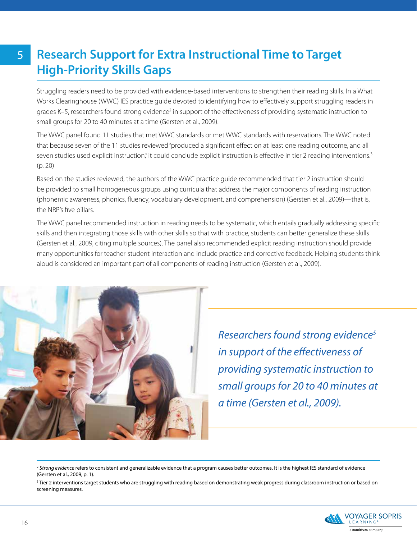## **Research Support for Extra Instructional Time to Target High-Priority Skills Gaps**

Struggling readers need to be provided with evidence-based interventions to strengthen their reading skills. In a What Works Clearinghouse (WWC) IES practice guide devoted to identifying how to effectively support struggling readers in grades K–5, researchers found strong evidence<sup>2</sup> in support of the effectiveness of providing systematic instruction to small groups for 20 to 40 minutes at a time (Gersten et al., 2009).

The WWC panel found 11 studies that met WWC standards or met WWC standards with reservations. The WWC noted that because seven of the 11 studies reviewed "produced a significant effect on at least one reading outcome, and all seven studies used explicit instruction," it could conclude explicit instruction is effective in tier 2 reading interventions.<sup>3</sup> (p. 20)

Based on the studies reviewed, the authors of the WWC practice guide recommended that tier 2 instruction should be provided to small homogeneous groups using curricula that address the major components of reading instruction (phonemic awareness, phonics, fluency, vocabulary development, and comprehension) (Gersten et al., 2009)—that is, the NRP's five pillars.

The WWC panel recommended instruction in reading needs to be systematic, which entails gradually addressing specific skills and then integrating those skills with other skills so that with practice, students can better generalize these skills (Gersten et al., 2009, citing multiple sources). The panel also recommended explicit reading instruction should provide many opportunities for teacher-student interaction and include practice and corrective feedback. Helping students think aloud is considered an important part of all components of reading instruction (Gersten et al., 2009).



*Researchers found strong evidence5 in support of the effectiveness of providing systematic instruction to small groups for 20 to 40 minutes at a time (Gersten et al., 2009).*

<sup>&</sup>lt;sup>2</sup> Strong evidence refers to consistent and generalizable evidence that a program causes better outcomes. It is the highest IES standard of evidence (Gersten et al., 2009, p. 1).

<sup>&</sup>lt;sup>3</sup> Tier 2 interventions target students who are struggling with reading based on demonstrating weak progress during classroom instruction or based on screening measures.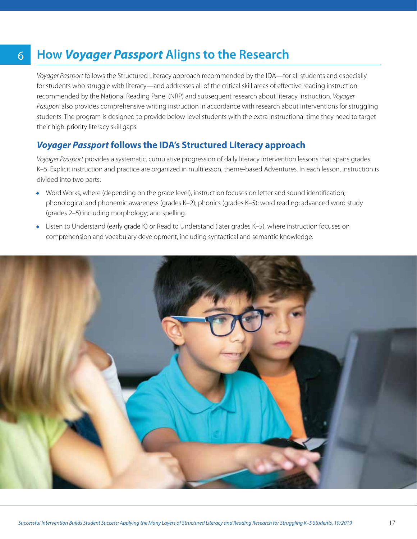## **How** *Voyager Passport* **Aligns to the Research**

6

*Voyager Passport* follows the Structured Literacy approach recommended by the IDA—for all students and especially for students who struggle with literacy—and addresses all of the critical skill areas of effective reading instruction recommended by the National Reading Panel (NRP) and subsequent research about literacy instruction. *Voyager Passport* also provides comprehensive writing instruction in accordance with research about interventions for struggling students. The program is designed to provide below-level students with the extra instructional time they need to target their high-priority literacy skill gaps.

#### *Voyager Passport* **follows the IDA's Structured Literacy approach**

*Voyager Passport* provides a systematic, cumulative progression of daily literacy intervention lessons that spans grades K–5. Explicit instruction and practice are organized in multilesson, theme-based Adventures. In each lesson, instruction is divided into two parts:

- Word Works, where (depending on the grade level), instruction focuses on letter and sound identification; phonological and phonemic awareness (grades K–2); phonics (grades K–5); word reading; advanced word study (grades 2–5) including morphology; and spelling.
- Listen to Understand (early grade K) or Read to Understand (later grades K–5), where instruction focuses on comprehension and vocabulary development, including syntactical and semantic knowledge.

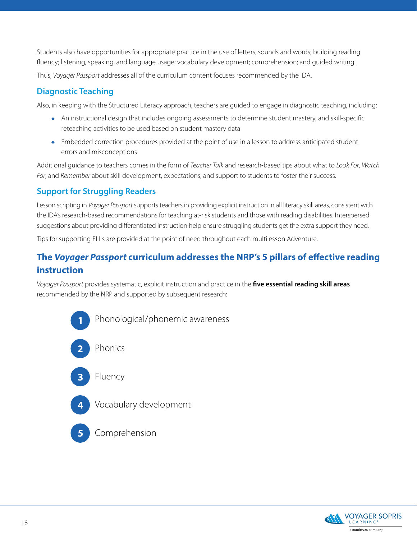<span id="page-17-0"></span>Students also have opportunities for appropriate practice in the use of letters, sounds and words; building reading fluency; listening, speaking, and language usage; vocabulary development; comprehension; and guided writing.

Thus, *Voyager Passport* addresses all of the curriculum content focuses recommended by the IDA.

#### **Diagnostic Teaching**

Also, in keeping with the Structured Literacy approach, teachers are guided to engage in diagnostic teaching, including:

- An instructional design that includes ongoing assessments to determine student mastery, and skill-specific reteaching activities to be used based on student mastery data
- Embedded correction procedures provided at the point of use in a lesson to address anticipated student errors and misconceptions

Additional guidance to teachers comes in the form of *Teacher Talk* and research-based tips about what to *Look For*, *Watch For*, and *Remember* about skill development, expectations, and support to students to foster their success.

#### **Support for Struggling Readers**

Lesson scripting in *Voyager Passport* supports teachers in providing explicit instruction in all literacy skill areas, consistent with the IDA's research-based recommendations for teaching at-risk students and those with reading disabilities. Interspersed suggestions about providing differentiated instruction help ensure struggling students get the extra support they need.

Tips for supporting ELLs are provided at the point of need throughout each multilesson Adventure.

### **The** *Voyager Passport* **curriculum addresses the NRP's 5 pillars of effective reading instruction**

*Voyager Passport* provides systematic, explicit instruction and practice in the **five essential reading skill areas** recommended by the NRP and supported by subsequent research:



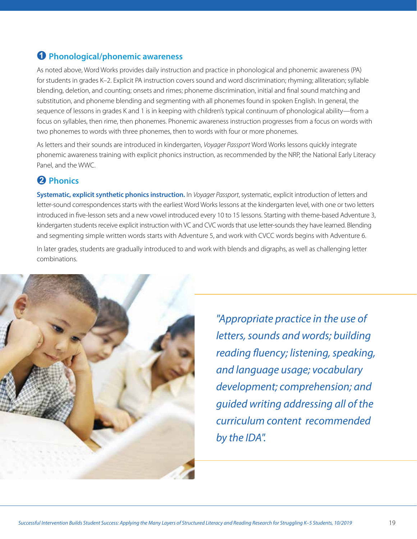#### <span id="page-18-0"></span>**Phonological/phonemic awareness**

As noted above, Word Works provides daily instruction and practice in phonological and phonemic awareness (PA) for students in grades K–2. Explicit PA instruction covers sound and word discrimination; rhyming; alliteration; syllable blending, deletion, and counting; onsets and rimes; phoneme discrimination, initial and final sound matching and substitution, and phoneme blending and segmenting with all phonemes found in spoken English. In general, the sequence of lessons in grades K and 1 is in keeping with children's typical continuum of phonological ability—from a focus on syllables, then rime, then phonemes. Phonemic awareness instruction progresses from a focus on words with two phonemes to words with three phonemes, then to words with four or more phonemes.

As letters and their sounds are introduced in kindergarten, *Voyager Passport* Word Works lessons quickly integrate phonemic awareness training with explicit phonics instruction, as recommended by the NRP, the National Early Literacy Panel, and the WWC.

#### **Phonics**

**Systematic, explicit synthetic phonics instruction.** In *Voyager Passport*, systematic, explicit introduction of letters and letter-sound correspondences starts with the earliest Word Works lessons at the kindergarten level, with one or two letters introduced in five-lesson sets and a new vowel introduced every 10 to 15 lessons. Starting with theme-based Adventure 3, kindergarten students receive explicit instruction with VC and CVC words that use letter-sounds they have learned. Blending and segmenting simple written words starts with Adventure 5, and work with CVCC words begins with Adventure 6.

In later grades, students are gradually introduced to and work with blends and digraphs, as well as challenging letter combinations.



*"Appropriate practice in the use of letters, sounds and words; building reading fluency; listening, speaking, and language usage; vocabulary development; comprehension; and guided writing addressing all of the curriculum content recommended by the IDA".*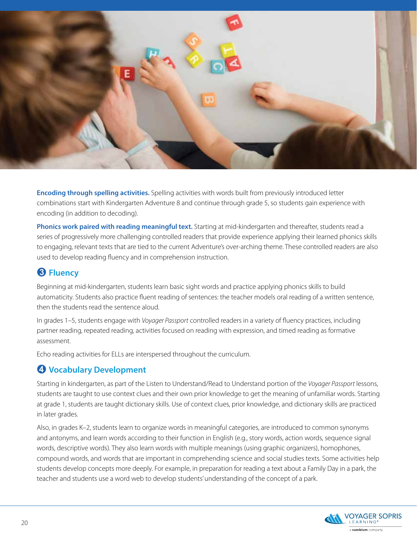

**Encoding through spelling activities.** Spelling activities with words built from previously introduced letter combinations start with Kindergarten Adventure 8 and continue through grade 5, so students gain experience with encoding (in addition to decoding).

**Phonics work paired with reading meaningful text.** Starting at mid-kindergarten and thereafter, students read a series of progressively more challenging controlled readers that provide experience applying their learned phonics skills to engaging, relevant texts that are tied to the current Adventure's over-arching theme. These controlled readers are also used to develop reading fluency and in comprehension instruction.

#### **8 Fluency**

Beginning at mid-kindergarten, students learn basic sight words and practice applying phonics skills to build automaticity. Students also practice fluent reading of sentences: the teacher models oral reading of a written sentence, then the students read the sentence aloud.

In grades 1–5, students engage with *Voyager Passport* controlled readers in a variety of fluency practices, including partner reading, repeated reading, activities focused on reading with expression, and timed reading as formative assessment.

Echo reading activities for ELLs are interspersed throughout the curriculum.

#### **Vocabulary Development**

Starting in kindergarten, as part of the Listen to Understand/Read to Understand portion of the *Voyager Passport* lessons, students are taught to use context clues and their own prior knowledge to get the meaning of unfamiliar words. Starting at grade 1, students are taught dictionary skills. Use of context clues, prior knowledge, and dictionary skills are practiced in later grades.

Also, in grades K–2, students learn to organize words in meaningful categories, are introduced to common synonyms and antonyms, and learn words according to their function in English (e.g., story words, action words, sequence signal words, descriptive words). They also learn words with multiple meanings (using graphic organizers), homophones, compound words, and words that are important in comprehending science and social studies texts. Some activities help students develop concepts more deeply. For example, in preparation for reading a text about a Family Day in a park, the teacher and students use a word web to develop students' understanding of the concept of a park.

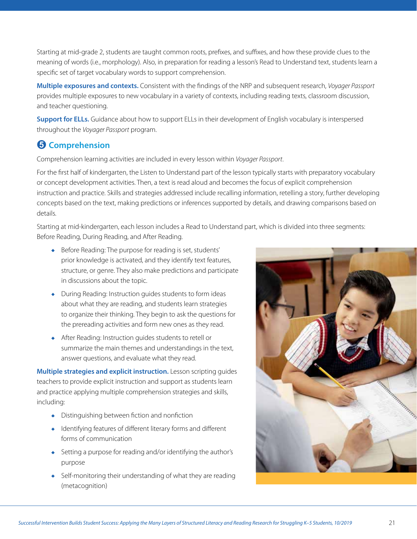Starting at mid-grade 2, students are taught common roots, prefixes, and suffixes, and how these provide clues to the meaning of words (i.e., morphology). Also, in preparation for reading a lesson's Read to Understand text, students learn a specific set of target vocabulary words to support comprehension.

**Multiple exposures and contexts.** Consistent with the findings of the NRP and subsequent research, *Voyager Passport* provides multiple exposures to new vocabulary in a variety of contexts, including reading texts, classroom discussion, and teacher questioning.

**Support for ELLs.** Guidance about how to support ELLs in their development of English vocabulary is interspersed throughout the *Voyager Passport* program.

#### $\Theta$  Comprehension

Comprehension learning activities are included in every lesson within *Voyager Passport*.

For the first half of kindergarten, the Listen to Understand part of the lesson typically starts with preparatory vocabulary or concept development activities. Then, a text is read aloud and becomes the focus of explicit comprehension instruction and practice. Skills and strategies addressed include recalling information, retelling a story, further developing concepts based on the text, making predictions or inferences supported by details, and drawing comparisons based on details.

Starting at mid-kindergarten, each lesson includes a Read to Understand part, which is divided into three segments: Before Reading, During Reading, and After Reading.

- Before Reading: The purpose for reading is set, students' prior knowledge is activated, and they identify text features, structure, or genre. They also make predictions and participate in discussions about the topic.
- During Reading: Instruction guides students to form ideas about what they are reading, and students learn strategies to organize their thinking. They begin to ask the questions for the prereading activities and form new ones as they read.
- After Reading: Instruction guides students to retell or summarize the main themes and understandings in the text, answer questions, and evaluate what they read.

**Multiple strategies and explicit instruction.** Lesson scripting guides teachers to provide explicit instruction and support as students learn and practice applying multiple comprehension strategies and skills, including:

- Distinguishing between fiction and nonfiction
- Identifying features of different literary forms and different forms of communication
- Setting a purpose for reading and/or identifying the author's purpose
- Self-monitoring their understanding of what they are reading (metacognition)

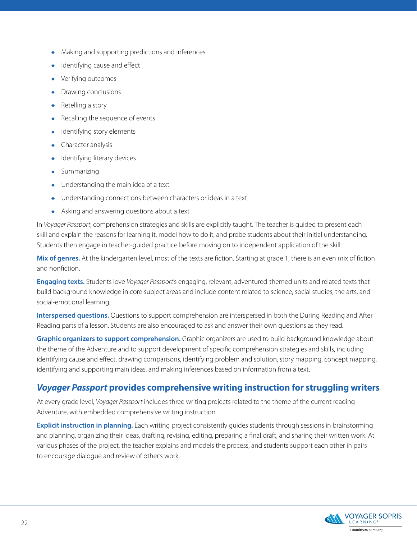- Making and supporting predictions and inferences
- Identifying cause and effect
- Verifying outcomes
- Drawing conclusions
- Retelling a story
- Recalling the sequence of events
- Identifying story elements
- Character analysis
- Identifying literary devices
- Summarizing
- Understanding the main idea of a text
- Understanding connections between characters or ideas in a text
- Asking and answering questions about a text

In *Voyager Passport*, comprehension strategies and skills are explicitly taught. The teacher is guided to present each skill and explain the reasons for learning it, model how to do it, and probe students about their initial understanding. Students then engage in teacher-guided practice before moving on to independent application of the skill.

**Mix of genres.** At the kindergarten level, most of the texts are fiction. Starting at grade 1, there is an even mix of fiction and nonfiction.

**Engaging texts.** Students love *Voyager Passport*'s engaging, relevant, adventured-themed units and related texts that build background knowledge in core subject areas and include content related to science, social studies, the arts, and social-emotional learning.

**Interspersed questions.** Questions to support comprehension are interspersed in both the During Reading and After Reading parts of a lesson. Students are also encouraged to ask and answer their own questions as they read.

**Graphic organizers to support comprehension.** Graphic organizers are used to build background knowledge about the theme of the Adventure and to support development of specific comprehension strategies and skills, including identifying cause and effect, drawing comparisons, identifying problem and solution, story mapping, concept mapping, identifying and supporting main ideas, and making inferences based on information from a text.

#### *Voyager Passport* **provides comprehensive writing instruction for struggling writers**

At every grade level, *Voyager Passport* includes three writing projects related to the theme of the current reading Adventure, with embedded comprehensive writing instruction.

**Explicit instruction in planning.** Each writing project consistently guides students through sessions in brainstorming and planning, organizing their ideas, drafting, revising, editing, preparing a final draft, and sharing their written work. At various phases of the project, the teacher explains and models the process, and students support each other in pairs to encourage dialogue and review of other's work.

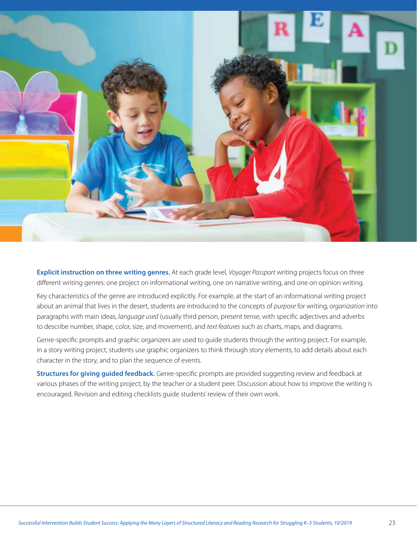

**Explicit instruction on three writing genres.** At each grade level, *Voyager Passport* writing projects focus on three different writing genres: one project on informational writing, one on narrative writing, and one on opinion writing.

Key characteristics of the genre are introduced explicitly. For example, at the start of an informational writing project about an animal that lives in the desert, students are introduced to the concepts of *purpose* for writing, *organization* into paragraphs with main ideas, *language used* (usually third person, present tense, with specific adjectives and adverbs to describe number, shape, color, size, and movement), and *text features* such as charts, maps, and diagrams.

Genre-specific prompts and graphic organizers are used to guide students through the writing project. For example, in a story writing project, students use graphic organizers to think through story elements, to add details about each character in the story, and to plan the sequence of events.

**Structures for giving guided feedback.** Genre-specific prompts are provided suggesting review and feedback at various phases of the writing project, by the teacher or a student peer. Discussion about how to improve the writing is encouraged. Revision and editing checklists guide students' review of their own work.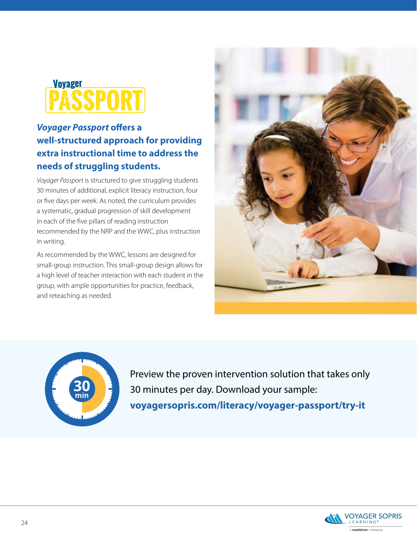# **Voyager**

#### *Voyager Passport* **offers a well-structured approach for providing extra instructional time to address the needs of struggling students.**

*Voyager Passport* is structured to give struggling students 30 minutes of additional, explicit literacy instruction, four or five days per week. As noted, the curriculum provides a systematic, gradual progression of skill development in each of the five pillars of reading instruction recommended by the NRP and the WWC, plus instruction in writing.

As recommended by the WWC, lessons are designed for small-group instruction. This small-group design allows for a high level of teacher interaction with each student in the group, with ample opportunities for practice, feedback, and reteaching as needed.





Preview the proven intervention solution that takes only 30 minutes per day. Download your sample: **[voyagersopris.com/literacy/voyager-passport/try-it](https://www.voyagersopris.com/literacy/voyager-passport/try-it)**

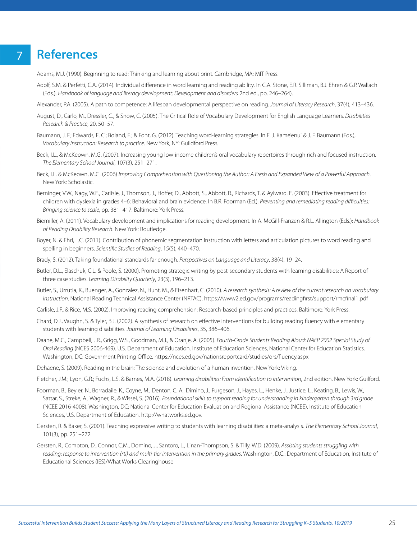### **References**

7

- Adams, M.J. (1990). Beginning to read: Thinking and learning about print. Cambridge, MA: MIT Press.
- Adolf, S.M. & Perfetti, C.A. (2014). Individual difference in word learning and reading ability. In C.A. Stone, E.R. Silliman, B.J. Ehren & G.P. Wallach (Eds.). *Handbook of language and literacy development: Development and disorders* 2nd ed., pp. 246–264).
- Alexander, P.A. (2005). A path to competence: A lifespan developmental perspective on reading. *Journal of Literacy Research*, 37(4), 413–436.
- August, D., Carlo, M., Dressler, C., & Snow, C. (2005). The Critical Role of Vocabulary Development for English Language Learners. *Disabilities Research & Practice*, 20, 50–57.
- Baumann, J. F.; Edwards, E. C.; Boland, E.; & Font, G. (2012). Teaching word-learning strategies. In E. J. Kame'enui & J. F. Baumann (Eds.), *Vocabulary instruction: Research to practice*. New York, NY: Guildford Press.
- Beck, I.L., & McKeown, M.G. (2007). Increasing young low-income children's oral vocabulary repertoires through rich and focused instruction. *The Elementary School Journal*, 107(3), 251–271.
- Beck, I.L. & McKeown, M.G. (2006) *Improving Comprehension with Questioning the Author: A Fresh and Expanded View of a Powerful Approach*. New York: Scholastic.
- Berninger, V.W., Nagy, W.E., Carlisle, J., Thomson, J., Hoffer, D., Abbott, S., Abbott, R., Richards, T. & Aylward. E. (2003). Effective treatment for children with dyslexia in grades 4–6: Behavioral and brain evidence. In B.R. Foorman (Ed.), *Preventing and remediating reading difficulties: Bringing science to scale*, pp. 381–417. Baltimore: York Press.
- Biemiller, A. (2011). Vocabulary development and implications for reading development. In A. McGill-Franzen & R.L. Allington (Eds.): *Handbook of Reading Disability Research*. New York: Routledge.
- Boyer, N. & Ehri, L.C. (2011). Contribution of phonemic segmentation instruction with letters and articulation pictures to word reading and spelling in beginners. *Scientific Studies of Reading*, 15(5), 440–470.
- Brady, S. (2012). Taking foundational standards far enough. *Perspectives on Language and Literacy*, 38(4), 19–24.
- Butler, D.L., Elaschuk, C.L. & Poole, S. (2000). Promoting strategic writing by post-secondary students with learning disabilities: A Report of three case studies. *Learning Disability Quarterly*, 23(3), 196–213.
- Butler, S., Urrutia, K., Buenger, A., Gonzalez, N., Hunt, M., & Eisenhart, C. (2010). *A research synthesis: A review of the current research on vocabulary instruction*. National Reading Technical Assistance Center (NRTAC). <https://www2.ed.gov/programs/readingfirst/support/rmcfinal1.pdf>
- Carlisle, J.F., & Rice, M.S. (2002). Improving reading comprehension: Research-based principles and practices. Baltimore: York Press.
- Chard, D.J., Vaughn, S. & Tyler, B.J. (2002). A synthesis of research on effective interventions for building reading fluency with elementary students with learning disabilities. *Journal of Learning Disabilities*, 35, 386–406.
- Daane, M.C., Campbell, J.R., Grigg, W.S., Goodman, M.J., & Oranje, A. (2005). *Fourth-Grade Students Reading Aloud: NAEP 2002 Special Study of Oral Reading* (NCES 2006-469). U.S. Department of Education. Institute of Education Sciences, National Center for Education Statistics. Washington, DC: Government Printing Office.<https://nces.ed.gov/nationsreportcard/studies/ors/fluency.aspx>
- Dehaene, S. (2009). Reading in the brain: The science and evolution of a human invention. New York: Viking.
- Fletcher, J.M.; Lyon, G.R.; Fuchs, L.S. & Barnes, M.A. (2018). *Learning disabilities: From identification to intervention*, 2nd edition. New York: Guilford.
- Foorman, B., Beyler, N., Borradaile, K., Coyne, M., Denton, C. A., Dimino, J., Furgeson, J., Hayes, L., Henke, J., Justice, L., Keating, B., Lewis, W., Sattar, S., Streke, A., Wagner, R., & Wissel, S. (2016). *Foundational skills to support reading for understanding in kindergarten through 3rd grade* (NCEE 2016-4008). Washington, DC: National Center for Education Evaluation and Regional Assistance (NCEE), Institute of Education Sciences, U.S. Department of Education.<http://whatworks.ed.gov>.
- Gersten, R. & Baker, S. (2001). Teaching expressive writing to students with learning disabilities: a meta-analysis. *The Elementary School Journal*, 101(3), pp. 251–272.
- Gersten, R., Compton, D., Connor, C.M., Domino, J., Santoro, L., Linan-Thompson, S. & Tilly, W.D. (2009). *Assisting students struggling with reading: response to intervention (rti) and multi-tier intervention in the primary grades*. Washington, D.C.: Department of Education, Institute of Educational Sciences (IES)/What Works Clearinghouse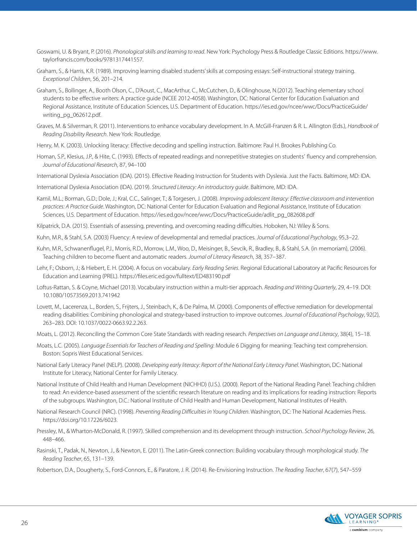- Goswami, U. & Bryant, P. (2016). *Phonological skills and learning to read*. New York: Psychology Press & Routledge Classic Editions. [https://www.](https://www.taylorfrancis.com/books/9781317441557) [taylorfrancis.com/books/9781317441557](https://www.taylorfrancis.com/books/9781317441557).
- Graham, S., & Harris, K.R. (1989). Improving learning disabled students' skills at composing essays: Self-instructional strategy training. *Exceptional Children*, 56, 201–214.
- Graham, S., Bollinger, A., Booth Olson, C., D'Aoust, C., MacArthur, C., McCutchen, D., & Olinghouse, N.(2012). Teaching elementary school students to be effective writers: A practice guide (NCEE 2012-4058). Washington, DC: National Center for Education Evaluation and Regional Assistance, Institute of Education Sciences, U.S. Department of Education. [https://ies.ed.gov/ncee/wwc/Docs/PracticeGuide/](https://ies.ed.gov/ncee/wwc/Docs/PracticeGuide/writing_pg_062612.pdf) [writing\\_pg\\_062612.pdf](https://ies.ed.gov/ncee/wwc/Docs/PracticeGuide/writing_pg_062612.pdf).
- Graves, M. & Silverman, R. (2011). Interventions to enhance vocabulary development. In A. McGill-Franzen & R. L. Allington (Eds.), *Handbook of Reading Disability Research*. New York: Routledge.
- Henry, M. K. (2003). Unlocking literacy: Effective decoding and spelling instruction. Baltimore: Paul H. Brookes Publishing Co.
- Homan, S.P., Klesius, J.P., & Hite, C. (1993). Effects of repeated readings and nonrepetitive strategies on students' fluency and comprehension. *Journal of Educational Research*, 87, 94–100
- International Dyslexia Association (IDA). (2015). Effective Reading Instruction for Students with Dyslexia. Just the Facts. Baltimore, MD: IDA.
- International Dyslexia Association (IDA). (2019). *Structured Literacy: An introductory guide*. Baltimore, MD: IDA.
- Kamil, M.L.; Borman, G.D.; Dole, J.; Kral, C.C., Salinger, T.; & Torgesen, J. (2008). *Improving adolescent literacy: Effective classroom and intervention practices: A Practice Guide*. Washington, DC: National Center for Education Evaluation and Regional Assistance, Institute of Education Sciences, U.S. Department of Education. [https://ies.ed.gov/ncee/wwc/Docs/PracticeGuide/adlit\\_pg\\_082608.pdf](https://ies.ed.gov/ncee/wwc/Docs/PracticeGuide/adlit_pg_082608.pdf)
- Kilpatrick, D.A. (2015). Essentials of assessing, preventing, and overcoming reading difficulties. Hoboken, NJ: Wiley & Sons.
- Kuhn, M.R., & Stahl, S.A. (2003) Fluency: A review of developmental and remedial practices. *Journal of Educational Psychology*, 95,3–22.
- Kuhn, M.R., Schwanenflugel, P.J., Morris, R.D., Morrow, L.M., Woo, D., Meisinger, B., Sevcik, R., Bradley, B., & Stahl, S.A. (in memoriam), (2006). Teaching children to become fluent and automatic readers. *Journal of Literacy Research*, 38, 357–387.
- Lehr, F.; Osborn, J.; & Hiebert, E. H. (2004). A focus on vocabulary. *Early Reading Series*. Regional Educational Laboratory at Pacific Resources for Education and Learning (PREL). <https://files.eric.ed.gov/fulltext/ED483190.pdf>
- Loftus-Rattan, S. & Coyne, Michael (2013). Vocabulary instruction within a multi-tier approach. *Reading and Writing Quarterly*, 29, 4–19. DOI: 10.1080/10573569.2013.741942
- Lovett, M., Lacerenza, L., Borden, S., Frijters, J., Steinbach, K., & De Palma, M. (2000). Components of effective remediation for developmental reading disabilities: Combining phonological and strategy-based instruction to improve outcomes. *Journal of Educational Psychology*, 92(2), 263–283. DOI: 10.1037/0022-0663.92.2.263.
- Moats, L. (2012). Reconciling the Common Core State Standards with reading research. *Perspectives on Language and Literacy*, 38(4), 15–18.
- Moats, L.C. (2005). *Language Essentials for Teachers of Reading and Spelling*: Module 6 Digging for meaning: Teaching text comprehension. Boston: Sopris West Educational Services.
- National Early Literacy Panel (NELP). (2008). *Developing early literacy: Report of the National Early Literacy Panel*. Washington, DC: National Institute for Literacy, National Center for Family Literacy.
- National Institute of Child Health and Human Development (NICHHD) (U.S.). (2000). Report of the National Reading Panel: Teaching children to read: An evidence-based assessment of the scientific research literature on reading and its implications for reading instruction: Reports of the subgroups. Washington, D.C.: National Institute of Child Health and Human Development, National Institutes of Health.
- National Research Council (NRC). (1998). *Preventing Reading Difficulties in Young Children*. Washington, DC: The National Academies Press. <https://doi.org/10.17226/6023>.
- Pressley, M., & Wharton-McDonald, R. (1997). Skilled comprehension and its development through instruction. *School Psychology Review*, 26, 448–466.
- Rasinski, T., Padak, N., Newton, J., & Newton, E. (2011). The Latin-Greek connection: Building vocabulary through morphological study. *The Reading Teacher*, 65, 131–139.
- Robertson, D.A., Dougherty, S., Ford-Connors, E., & Paratore, J. R. (2014). Re-Envisioning Instruction. *The Reading Teacher*, 67(7), 547–559

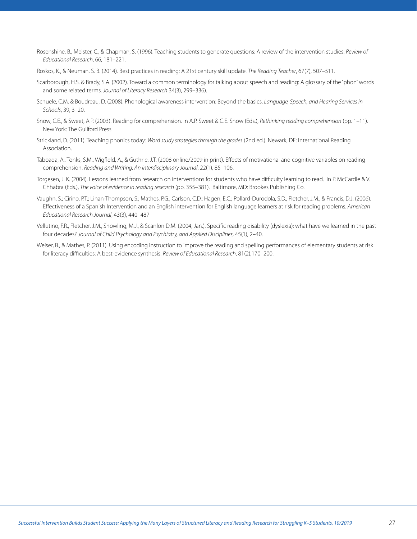- <span id="page-26-0"></span>Rosenshine, B., Meister, C., & Chapman, S. (1996). Teaching students to generate questions: A review of the intervention studies. *Review of Educational Research*, 66, 181–221.
- Roskos, K., & Neuman, S. B. (2014). Best practices in reading: A 21st century skill update. *The Reading Teacher*, 67(7), 507–511.
- Scarborough, H.S. & Brady, S.A. (2002). Toward a common terminology for talking about speech and reading: A glossary of the "phon" words and some related terms. *Journal of Literacy Research* 34(3), 299–336).
- Schuele, C.M. & Boudreau, D. (2008). Phonological awareness intervention: Beyond the basics. *Language, Speech, and Hearing Services in Schools*, 39, 3–20.
- Snow, C.E., & Sweet, A.P. (2003). Reading for comprehension. In A.P. Sweet & C.E. Snow (Eds.), *Rethinking reading comprehension* (pp. 1–11). New York: The Guilford Press.
- Strickland, D. (2011). Teaching phonics today: *Word study strategies through the grades* (2nd ed.). Newark, DE: International Reading Association.
- Taboada, A., Tonks, S.M., Wigfield, A., & Guthrie, J.T. (2008 online/2009 in print). Effects of motivational and cognitive variables on reading comprehension. *Reading and Writing: An Interdisciplinary Journal*, 22(1), 85–106.
- Torgesen, J. K. (2004). Lessons learned from research on interventions for students who have difficulty learning to read. In P. McCardle & V. Chhabra (Eds.), *The voice of evidence in reading research* (pp. 355–381). Baltimore, MD: Brookes Publishing Co.
- Vaughn, S.; Cirino, P.T.; Linan-Thompson, S.; Mathes, P.G.; Carlson, C.D.; Hagen, E.C.; Pollard-Durodola, S.D., Fletcher, J.M., & Francis, D.J. (2006). Effectiveness of a Spanish Intervention and an English intervention for English language learners at risk for reading problems. *American Educational Research Journal*, 43(3), 440–487
- Vellutino, F.R., Fletcher, J.M., Snowling, M.J., & Scanlon D.M. (2004, Jan.). Specific reading disability (dyslexia): what have we learned in the past four decades? *Journal of Child Psychology and Psychiatry, and Applied Disciplines*, 45(1), 2–40.
- Weiser, B., & Mathes, P. (2011). Using encoding instruction to improve the reading and spelling performances of elementary students at risk for literacy difficulties: A best-evidence synthesis. *Review of Educational Research*, 81(2),170–200.